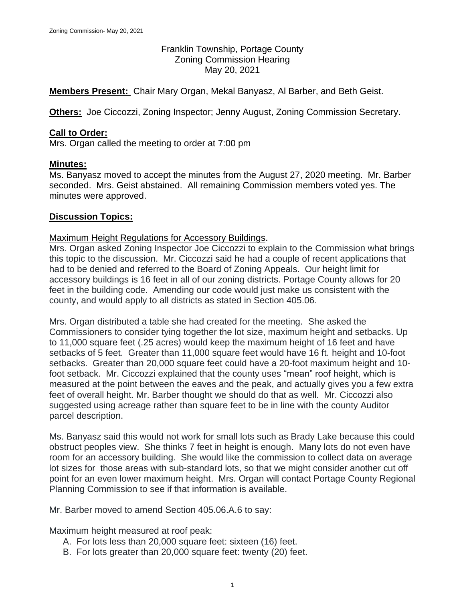Franklin Township, Portage County Zoning Commission Hearing May 20, 2021

**Members Present:** Chair Mary Organ, Mekal Banyasz, Al Barber, and Beth Geist.

**Others:** Joe Ciccozzi, Zoning Inspector; Jenny August, Zoning Commission Secretary.

## **Call to Order:**

Mrs. Organ called the meeting to order at 7:00 pm

## **Minutes:**

Ms. Banyasz moved to accept the minutes from the August 27, 2020 meeting. Mr. Barber seconded. Mrs. Geist abstained. All remaining Commission members voted yes. The minutes were approved.

## **Discussion Topics:**

#### Maximum Height Regulations for Accessory Buildings.

Mrs. Organ asked Zoning Inspector Joe Ciccozzi to explain to the Commission what brings this topic to the discussion. Mr. Ciccozzi said he had a couple of recent applications that had to be denied and referred to the Board of Zoning Appeals. Our height limit for accessory buildings is 16 feet in all of our zoning districts. Portage County allows for 20 feet in the building code. Amending our code would just make us consistent with the county, and would apply to all districts as stated in Section 405.06.

Mrs. Organ distributed a table she had created for the meeting. She asked the Commissioners to consider tying together the lot size, maximum height and setbacks. Up to 11,000 square feet (.25 acres) would keep the maximum height of 16 feet and have setbacks of 5 feet. Greater than 11,000 square feet would have 16 ft. height and 10-foot setbacks. Greater than 20,000 square feet could have a 20-foot maximum height and 10 foot setback. Mr. Ciccozzi explained that the county uses "mean" roof height, which is measured at the point between the eaves and the peak, and actually gives you a few extra feet of overall height. Mr. Barber thought we should do that as well. Mr. Ciccozzi also suggested using acreage rather than square feet to be in line with the county Auditor parcel description.

Ms. Banyasz said this would not work for small lots such as Brady Lake because this could obstruct peoples view. She thinks 7 feet in height is enough. Many lots do not even have room for an accessory building. She would like the commission to collect data on average lot sizes for those areas with sub-standard lots, so that we might consider another cut off point for an even lower maximum height. Mrs. Organ will contact Portage County Regional Planning Commission to see if that information is available.

Mr. Barber moved to amend Section 405.06.A.6 to say:

Maximum height measured at roof peak:

- A. For lots less than 20,000 square feet: sixteen (16) feet.
- B. For lots greater than 20,000 square feet: twenty (20) feet.